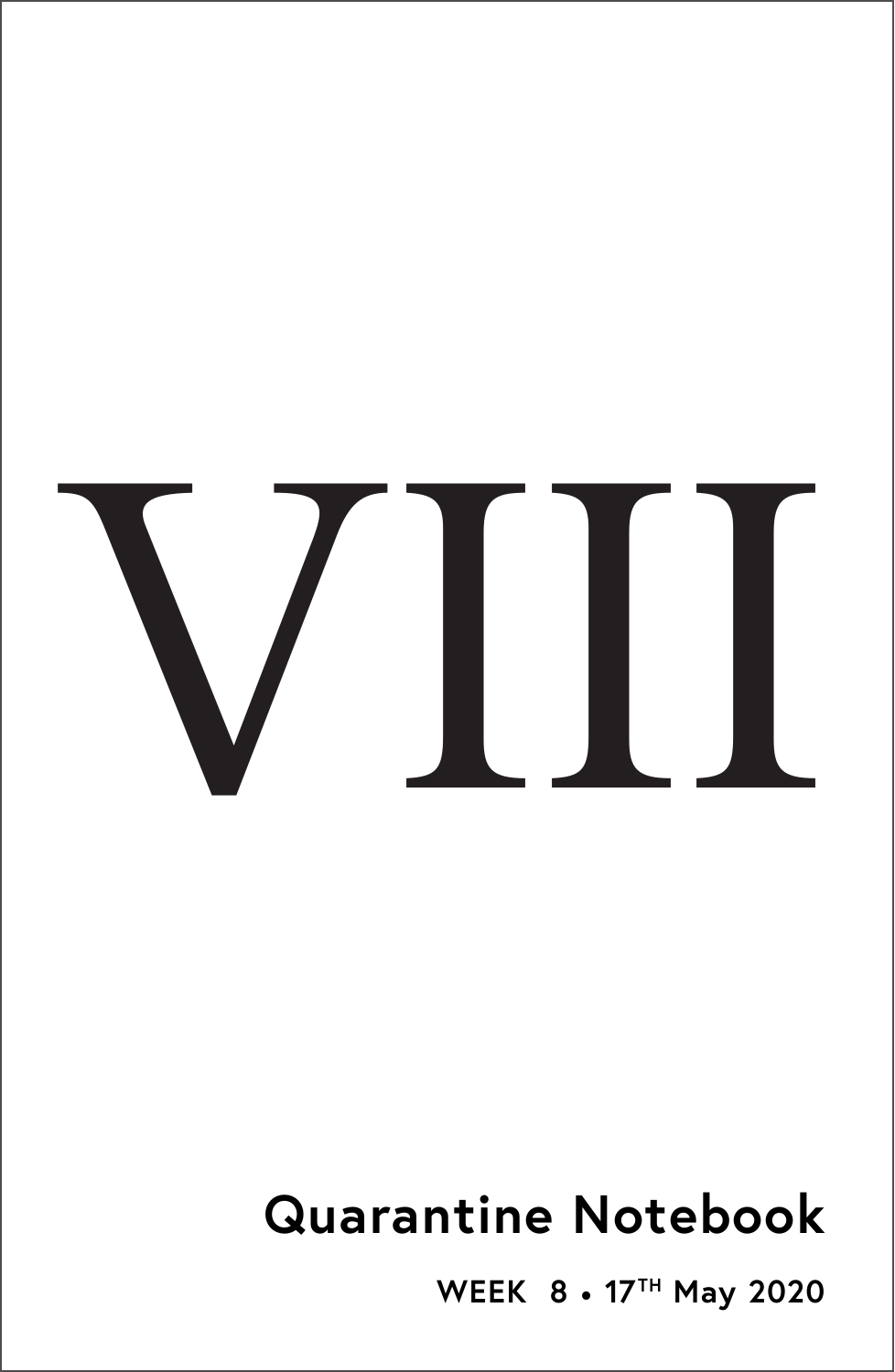

# **Quarantine Notebook**

**WEEK 8** • **17TH May 2020**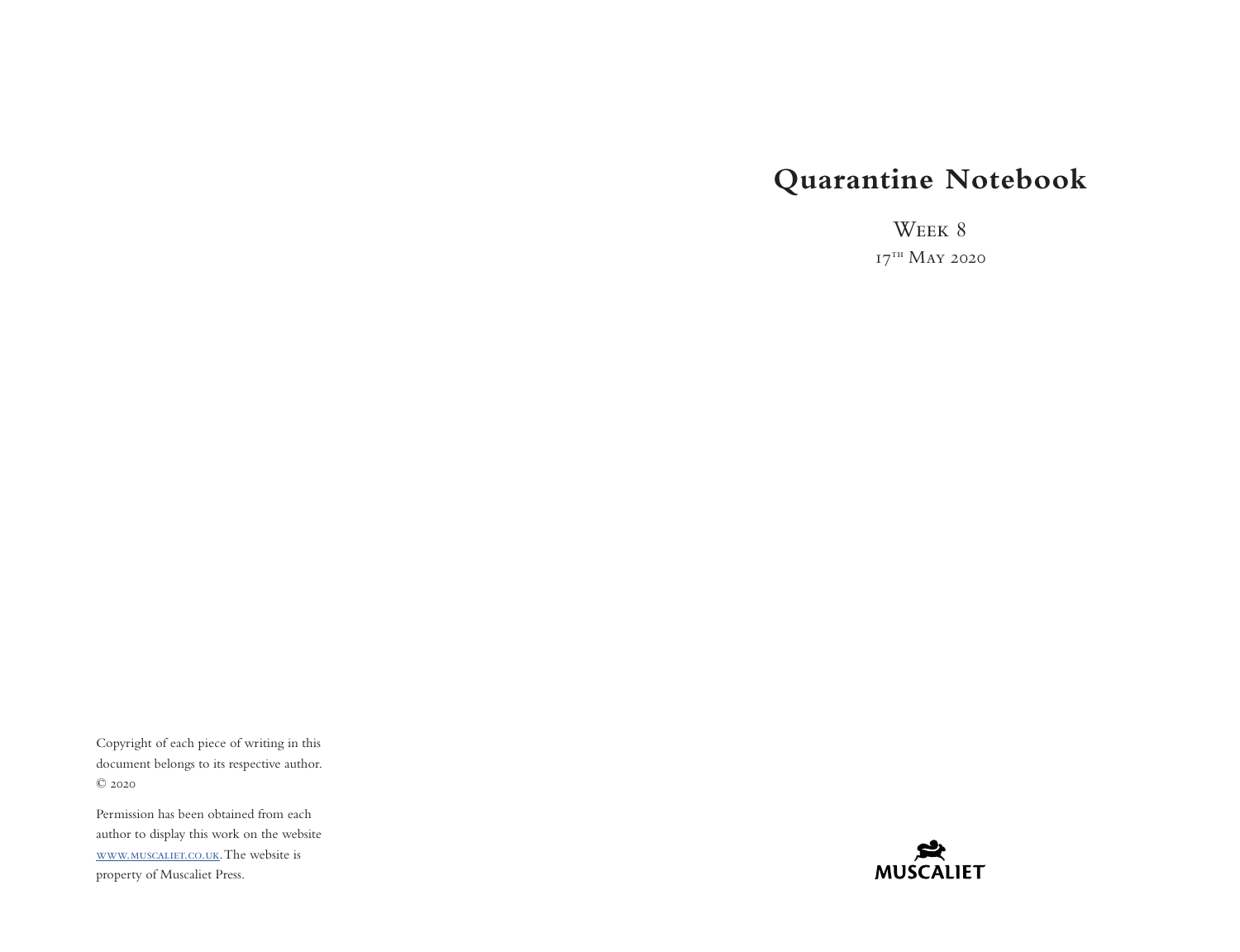# **Quarantine Notebook**

WEEK 8  $17^{th}$  May 2020

Copyright of each piece of writing in this document belongs to its respective author. © 2020

Permission has been obtained from each author to display this work on the website [www.muscaliet.co.uk.](https://www.muscaliet.co.uk) The website is property of Muscaliet Press.

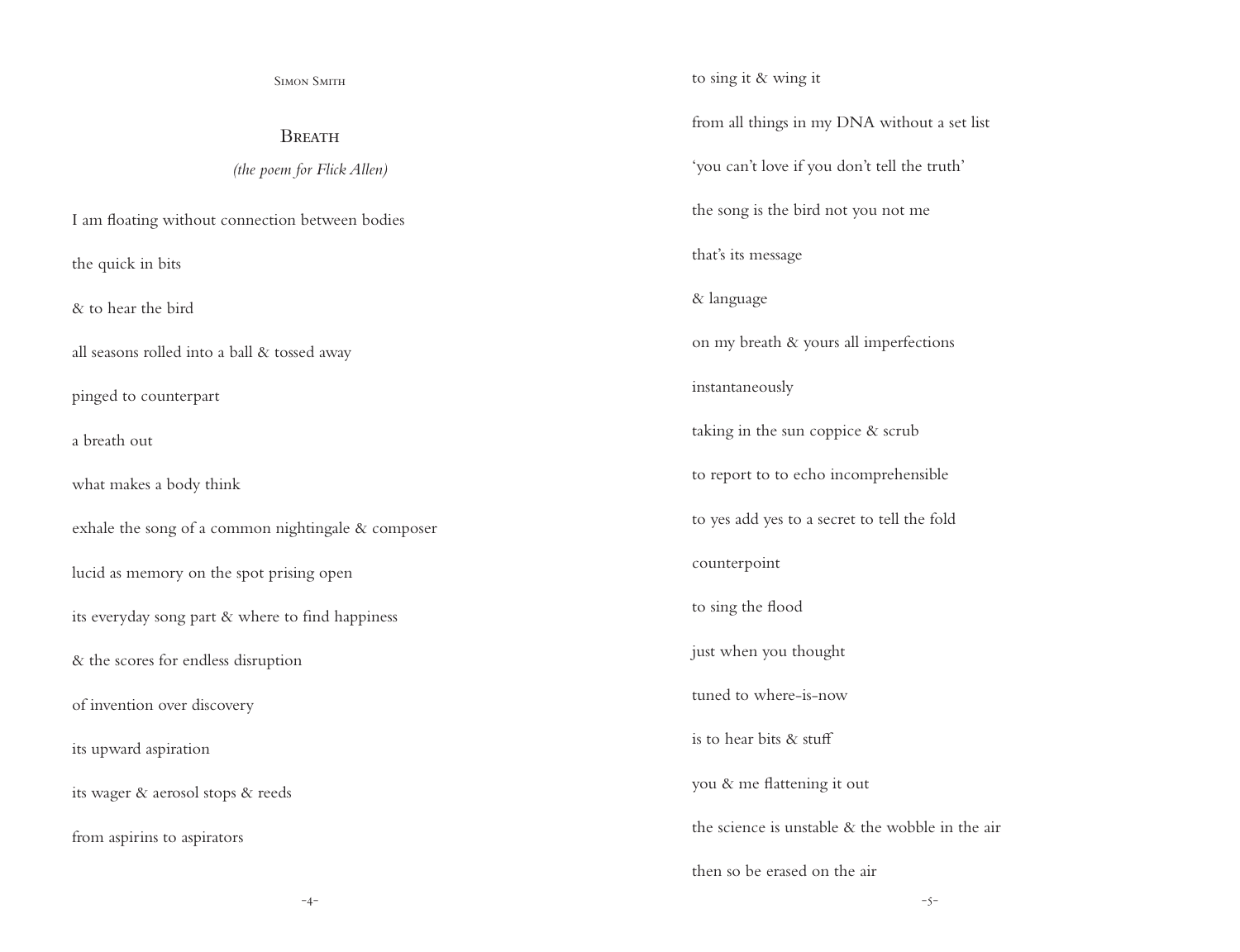Simon Smith

**BREATH** 

*(the poem for Flick Allen)*

I am floating without connection between bodies

the quick in bits

& to hear the bird

all seasons rolled into a ball & tossed away

pinged to counterpart

a breath out

what makes a body think

exhale the song of a common nightingale & composer

lucid as memory on the spot prising open

its everyday song part & where to find happiness

& the scores for endless disruption

of invention over discovery

its upward aspiration

its wager & aerosol stops & reeds

from aspirins to aspirators

to sing it & wing it from all things in my DNA without a set list 'you can't love if you don't tell the truth' the song is the bird not you not me that's its message & language on my breath & yours all imperfections instantaneously taking in the sun coppice & scrub to report to to echo incomprehensible to yes add yes to a secret to tell the fold counterpoint to sing the flood just when you thought tuned to where-is-now is to hear bits & stuff you & me flattening it out the science is unstable & the wobble in the air then so be erased on the air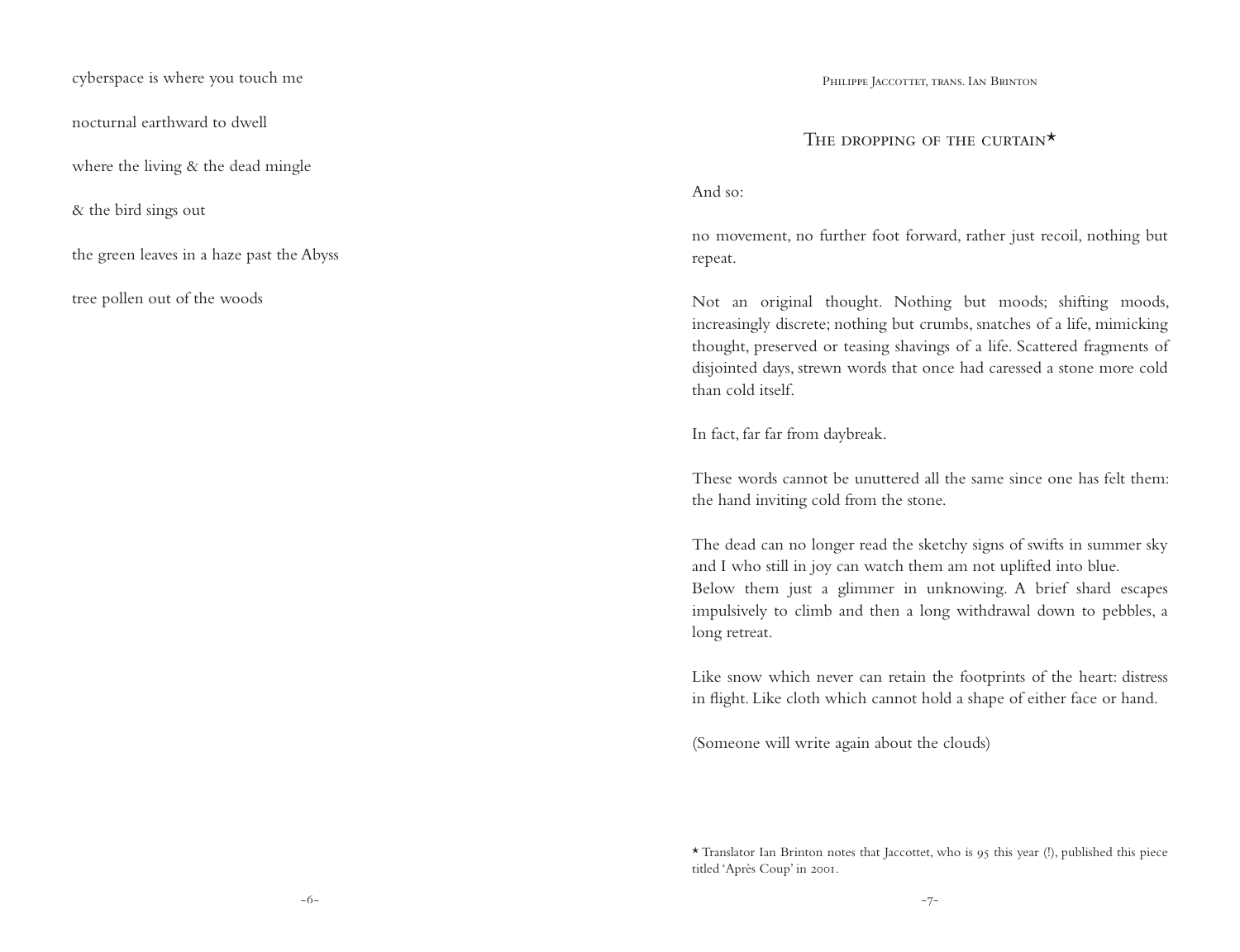cyberspace is where you touch me

nocturnal earthward to dwell

where the living  $\&$  the dead mingle

& the bird sings out

the green leaves in a haze past the Abyss

tree pollen out of the woods

PHILIPPE JACCOTTET, TRANS. IAN BRINTON

# THE DROPPING OF THE CURTAIN<sup>\*</sup>

#### And so:

no movement, no further foot forward, rather just recoil, nothing but repeat.

Not an original thought. Nothing but moods; shifting moods, increasingly discrete; nothing but crumbs, snatches of a life, mimicking thought, preserved or teasing shavings of a life. Scattered fragments of disjointed days, strewn words that once had caressed a stone more cold than cold itself.

In fact, far far from daybreak.

These words cannot be unuttered all the same since one has felt them: the hand inviting cold from the stone.

The dead can no longer read the sketchy signs of swifts in summer sky and I who still in joy can watch them am not uplifted into blue. Below them just a glimmer in unknowing. A brief shard escapes impulsively to climb and then a long withdrawal down to pebbles, a long retreat.

Like snow which never can retain the footprints of the heart: distress in flight. Like cloth which cannot hold a shape of either face or hand.

(Someone will write again about the clouds)

<sup>\*</sup> Translator Ian Brinton notes that Jaccottet, who is 95 this year (!), published this piece titled 'Après Coup' in 2001.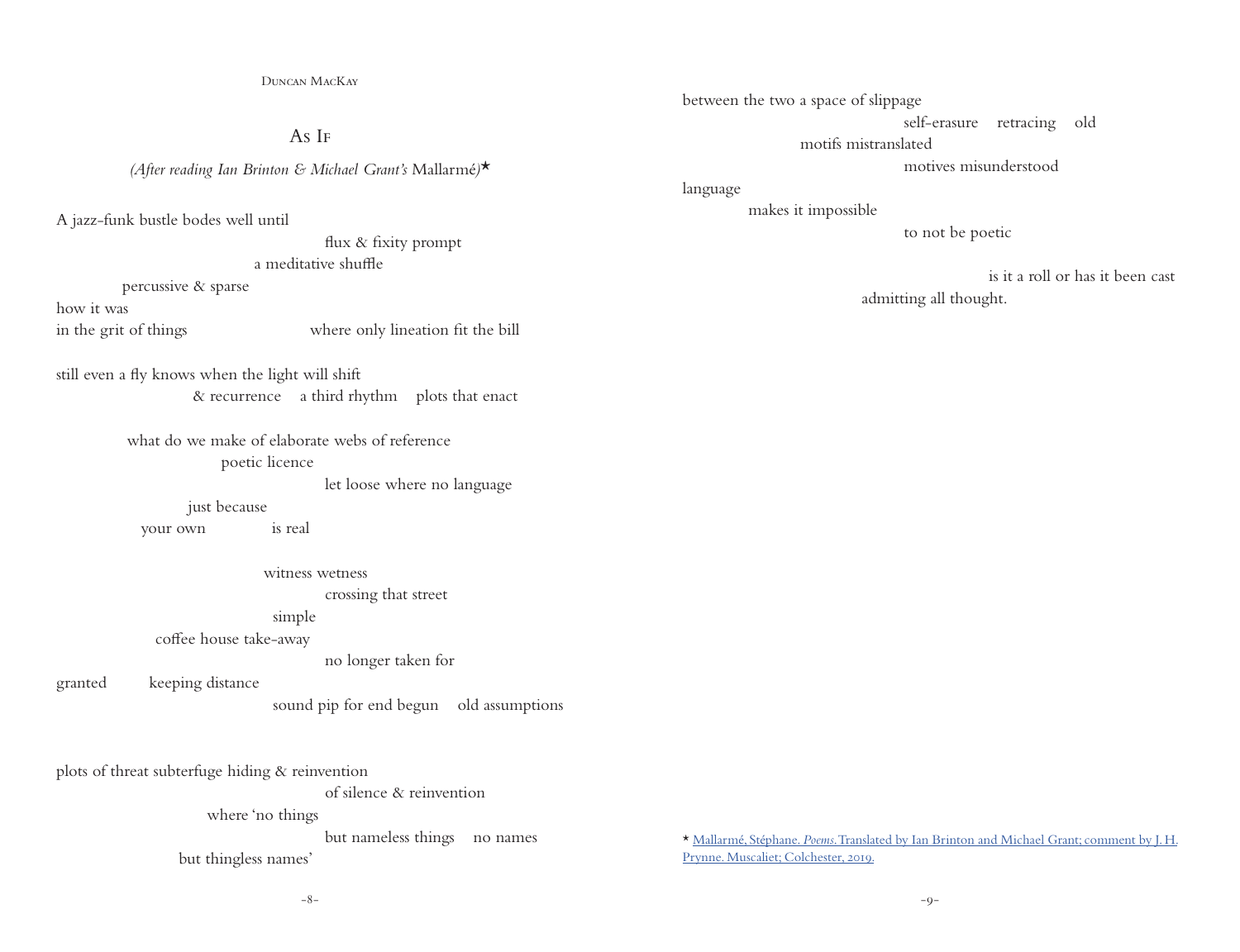$A_S I_F$ 

*(After reading Ian Brinton & Michael Grant's* Mallarmé*)*\*

A jazz-funk bustle bodes well until

 flux & fixity prompt a meditative shuffle

percussive & sparse

how it was

in the grit of things where only lineation fit the bill

still even a fly knows when the light will shift & recurrence a third rhythm plots that enact

> what do we make of elaborate webs of reference poetic licence

> > let loose where no language

just because

your own is real

witness wetness

crossing that street

simple

coffee house take-away

no longer taken for

granted keeping distance

sound pip for end begun old assumptions

plots of threat subterfuge hiding & reinvention of silence & reinvention where 'no things but nameless things no names

but thingless names'

between the two a space of slippage

self-erasure retracing old

motifs mistranslated

motives misunderstood

language

makes it impossible

to not be poetic

 is it a roll or has it been cast admitting all thought.

\* Mallarmé, Stéphane. *Poems*[. Translated by Ian Brinton and Michael Grant; comment by J. H.](https://www.muscaliet.co.uk/product/poems-stephane-mallarme/) [Prynne. Muscaliet; Colchester, 2019.](https://www.muscaliet.co.uk/product/poems-stephane-mallarme/)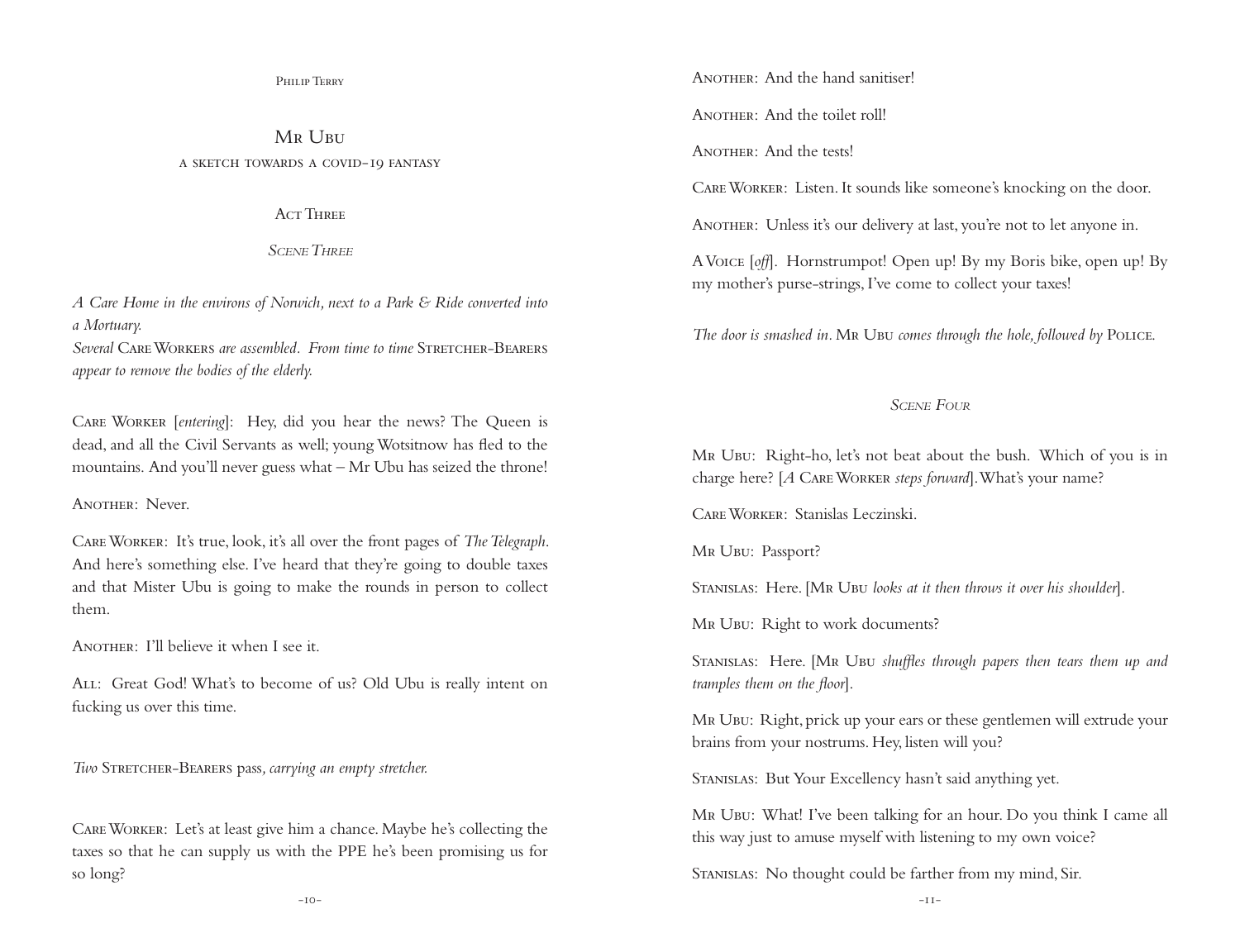Philip Terry

MR UBU a sketch towards a covid-19 fantasy

A<sub>CT</sub> Three

*Scene Three*

*A Care Home in the environs of Norwich, next to a Park & Ride converted into a Mortuary.*

*Several* Care Workers *are assembled. From time to time* Stretcher-Bearers *appear to remove the bodies of the elderly.*

Care Worker [*entering*]: Hey, did you hear the news? The Queen is dead, and all the Civil Servants as well; young Wotsitnow has fled to the mountains. And you'll never guess what – Mr Ubu has seized the throne!

Another: Never.

Care Worker: It's true, look, it's all over the front pages of *The Telegraph*. And here's something else. I've heard that they're going to double taxes and that Mister Ubu is going to make the rounds in person to collect them.

Another: I'll believe it when I see it.

ALL: Great God! What's to become of us? Old Ubu is really intent on fucking us over this time.

*Two* Stretcher-Bearers pass*, carrying an empty stretcher.* 

Care Worker: Let's at least give him a chance. Maybe he's collecting the taxes so that he can supply us with the PPE he's been promising us for so long?

ANOTHER: And the hand sanitiser!

ANOTHER: And the toilet roll!

ANOTHER: And the tests!

Care Worker: Listen. It sounds like someone's knocking on the door.

ANOTHER: Unless it's our delivery at last, you're not to let anyone in.

A Voice [*off*]. Hornstrumpot! Open up! By my Boris bike, open up! By my mother's purse-strings, I've come to collect your taxes!

*The door is smashed in.* Mr Ubu *comes through the hole, followed by* Police.

#### *Scene Four*

Mr Ubu: Right-ho, let's not beat about the bush. Which of you is in charge here? [*A* Care Worker *steps forward*]. What's your name?

Care Worker: Stanislas Leczinski.

MR UBU: Passport?

STANISLAS: Here. [MR UBU *looks at it then throws it over his shoulder*].

MR UBU: Right to work documents?

STANISLAS: Here. [MR UBU *shuffles through papers then tears them up and tramples them on the floor*].

Mr Ubu: Right, prick up your ears or these gentlemen will extrude your brains from your nostrums. Hey, listen will you?

STANISLAS: But Your Excellency hasn't said anything yet.

Mr Ubu: What! I've been talking for an hour. Do you think I came all this way just to amuse myself with listening to my own voice?

Stanislas: No thought could be farther from my mind, Sir.

-10- -11-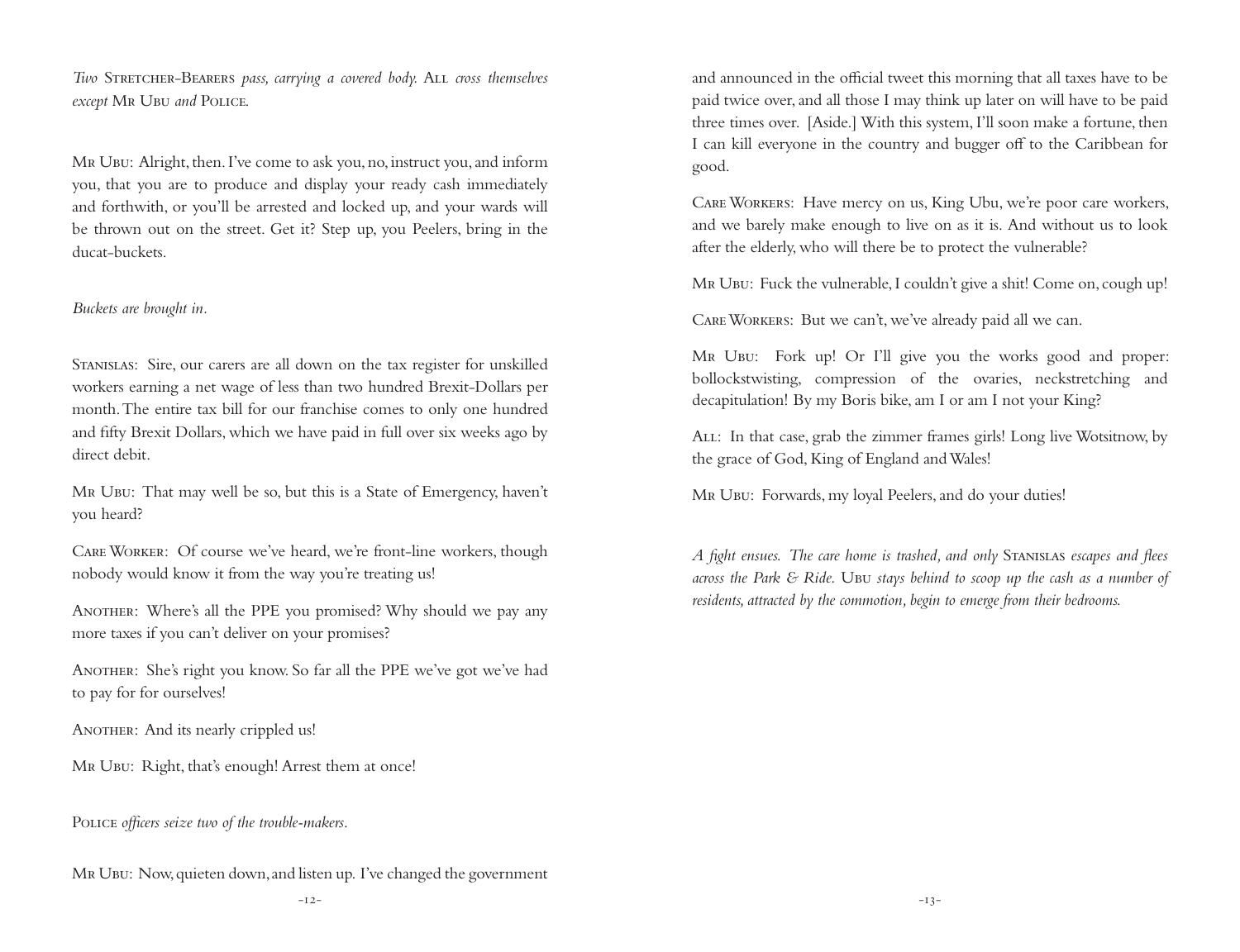*Two* Stretcher-Bearers *pass, carrying a covered body.* All *cross themselves except* Mr Ubu *and* Police.

Mr Ubu: Alright, then. I've come to ask you, no, instruct you, and inform you, that you are to produce and display your ready cash immediately and forthwith, or you'll be arrested and locked up, and your wards will be thrown out on the street. Get it? Step up, you Peelers, bring in the ducat-buckets.

#### *Buckets are brought in.*

Stanislas: Sire, our carers are all down on the tax register for unskilled workers earning a net wage of less than two hundred Brexit-Dollars per month. The entire tax bill for our franchise comes to only one hundred and fifty Brexit Dollars, which we have paid in full over six weeks ago by direct debit.

Mr Ubu: That may well be so, but this is a State of Emergency, haven't you heard?

Care Worker: Of course we've heard, we're front-line workers, though nobody would know it from the way you're treating us!

ANOTHER: Where's all the PPE you promised? Why should we pay any more taxes if you can't deliver on your promises?

ANOTHER: She's right you know. So far all the PPE we've got we've had to pay for for ourselves!

ANOTHER: And its nearly crippled us!

Mr Ubu: Right, that's enough! Arrest them at once!

POLICE *officers seize two of the trouble-makers*.

Mr Ubu: Now, quieten down, and listen up. I've changed the government

and announced in the official tweet this morning that all taxes have to be paid twice over, and all those I may think up later on will have to be paid three times over. [Aside.] With this system, I'll soon make a fortune, then I can kill everyone in the country and bugger off to the Caribbean for good.

Care Workers: Have mercy on us, King Ubu, we're poor care workers, and we barely make enough to live on as it is. And without us to look after the elderly, who will there be to protect the vulnerable?

Mr Ubu: Fuck the vulnerable, I couldn't give a shit! Come on, cough up!

Care Workers: But we can't, we've already paid all we can.

MR UBU: Fork up! Or I'll give you the works good and proper: bollockstwisting, compression of the ovaries, neckstretching and decapitulation! By my Boris bike, am I or am I not your King?

All: In that case, grab the zimmer frames girls! Long live Wotsitnow, by the grace of God, King of England and Wales!

Mr Ubu: Forwards, my loyal Peelers, and do your duties!

*A fight ensues. The care home is trashed, and only* Stanislas *escapes and flees across the Park & Ride.* Ubu *stays behind to scoop up the cash as a number of residents, attracted by the commotion, begin to emerge from their bedrooms.*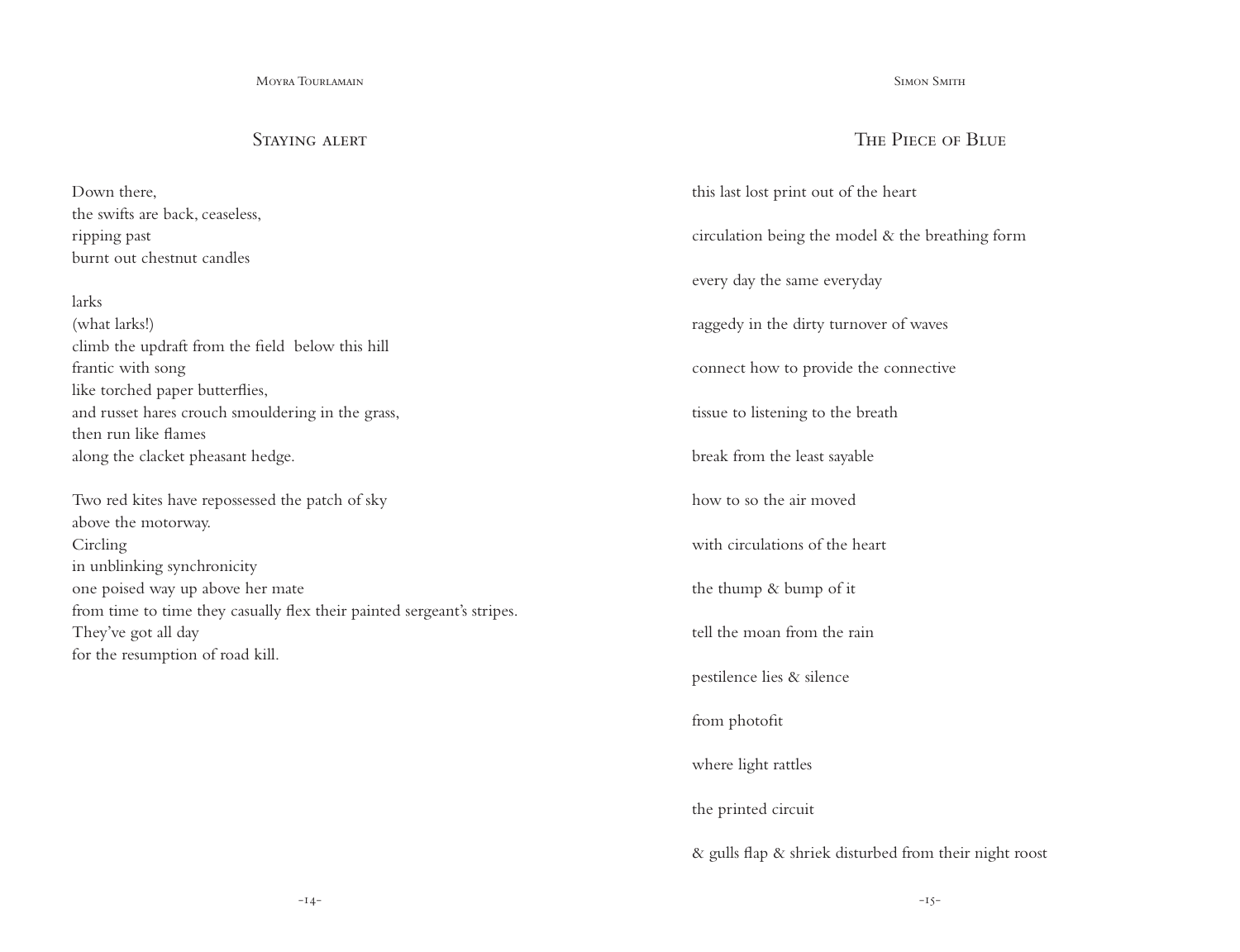### STAYING ALERT

Down there, the swifts are back, ceaseless, ripping past burnt out chestnut candles

#### larks

(what larks!) climb the updraft from the field below this hill frantic with song like torched paper butterflies, and russet hares crouch smouldering in the grass, then run like flames along the clacket pheasant hedge.

Two red kites have repossessed the patch of sky above the motorway. Circling in unblinking synchronicity one poised way up above her mate from time to time they casually flex their painted sergeant's stripes. They've got all day for the resumption of road kill.

#### SIMON SMITH

## The Piece of Blue

this last lost print out of the heart circulation being the model & the breathing form every day the same everyday raggedy in the dirty turnover of waves connect how to provide the connective tissue to listening to the breath break from the least sayable how to so the air moved with circulations of the heart the thump & bump of it tell the moan from the rain pestilence lies & silence from photofit where light rattles the printed circuit

& gulls flap & shriek disturbed from their night roost